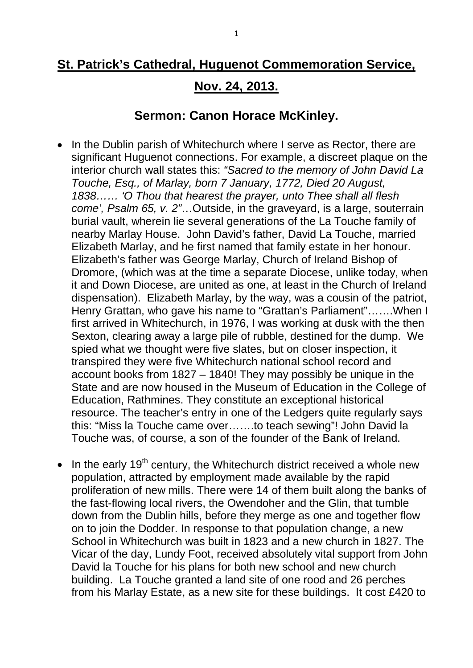## **St. Patrick's Cathedral, Huguenot Commemoration Service,**

## **Nov. 24, 2013.**

## **Sermon: Canon Horace McKinley.**

- In the Dublin parish of Whitechurch where I serve as Rector, there are significant Huguenot connections. For example, a discreet plaque on the interior church wall states this: *"Sacred to the memory of John David La Touche, Esq., of Marlay, born 7 January, 1772, Died 20 August, 1838…… 'O Thou that hearest the prayer, unto Thee shall all flesh come', Psalm 65, v. 2"*…Outside, in the graveyard, is a large, souterrain burial vault, wherein lie several generations of the La Touche family of nearby Marlay House. John David's father, David La Touche, married Elizabeth Marlay, and he first named that family estate in her honour. Elizabeth's father was George Marlay, Church of Ireland Bishop of Dromore, (which was at the time a separate Diocese, unlike today, when it and Down Diocese, are united as one, at least in the Church of Ireland dispensation). Elizabeth Marlay, by the way, was a cousin of the patriot, Henry Grattan, who gave his name to "Grattan's Parliament"…….When I first arrived in Whitechurch, in 1976, I was working at dusk with the then Sexton, clearing away a large pile of rubble, destined for the dump. We spied what we thought were five slates, but on closer inspection, it transpired they were five Whitechurch national school record and account books from 1827 – 1840! They may possibly be unique in the State and are now housed in the Museum of Education in the College of Education, Rathmines. They constitute an exceptional historical resource. The teacher's entry in one of the Ledgers quite regularly says this: "Miss la Touche came over…….to teach sewing"! John David la Touche was, of course, a son of the founder of the Bank of Ireland.
- In the early 19<sup>th</sup> century, the Whitechurch district received a whole new population, attracted by employment made available by the rapid proliferation of new mills. There were 14 of them built along the banks of the fast-flowing local rivers, the Owendoher and the Glin, that tumble down from the Dublin hills, before they merge as one and together flow on to join the Dodder. In response to that population change, a new School in Whitechurch was built in 1823 and a new church in 1827. The Vicar of the day, Lundy Foot, received absolutely vital support from John David la Touche for his plans for both new school and new church building. La Touche granted a land site of one rood and 26 perches from his Marlay Estate, as a new site for these buildings. It cost £420 to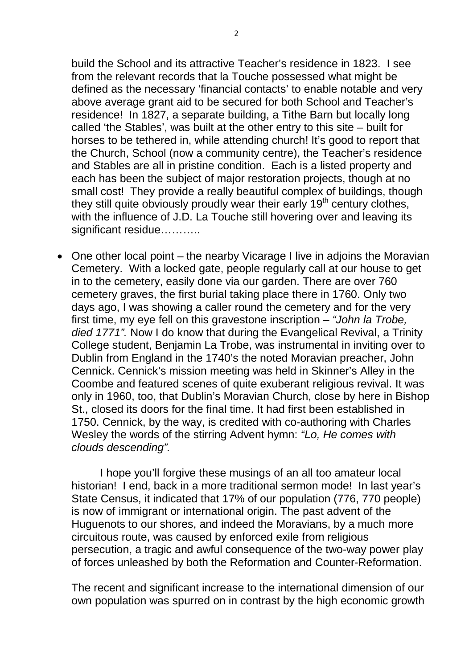build the School and its attractive Teacher's residence in 1823. I see from the relevant records that la Touche possessed what might be defined as the necessary 'financial contacts' to enable notable and very above average grant aid to be secured for both School and Teacher's residence! In 1827, a separate building, a Tithe Barn but locally long called 'the Stables', was built at the other entry to this site – built for horses to be tethered in, while attending church! It's good to report that the Church, School (now a community centre), the Teacher's residence and Stables are all in pristine condition. Each is a listed property and each has been the subject of major restoration projects, though at no small cost! They provide a really beautiful complex of buildings, though they still quite obviously proudly wear their early  $19<sup>th</sup>$  century clothes, with the influence of J.D. La Touche still hovering over and leaving its significant residue……….

• One other local point – the nearby Vicarage I live in adjoins the Moravian Cemetery. With a locked gate, people regularly call at our house to get in to the cemetery, easily done via our garden. There are over 760 cemetery graves, the first burial taking place there in 1760. Only two days ago, I was showing a caller round the cemetery and for the very first time, my eye fell on this gravestone inscription – *"John la Trobe, died 1771".* Now I do know that during the Evangelical Revival, a Trinity College student, Benjamin La Trobe, was instrumental in inviting over to Dublin from England in the 1740's the noted Moravian preacher, John Cennick. Cennick's mission meeting was held in Skinner's Alley in the Coombe and featured scenes of quite exuberant religious revival. It was only in 1960, too, that Dublin's Moravian Church, close by here in Bishop St., closed its doors for the final time. It had first been established in 1750. Cennick, by the way, is credited with co-authoring with Charles Wesley the words of the stirring Advent hymn: *"Lo, He comes with clouds descending".*

I hope you'll forgive these musings of an all too amateur local historian! I end, back in a more traditional sermon mode! In last year's State Census, it indicated that 17% of our population (776, 770 people) is now of immigrant or international origin. The past advent of the Huguenots to our shores, and indeed the Moravians, by a much more circuitous route, was caused by enforced exile from religious persecution, a tragic and awful consequence of the two-way power play of forces unleashed by both the Reformation and Counter-Reformation.

The recent and significant increase to the international dimension of our own population was spurred on in contrast by the high economic growth